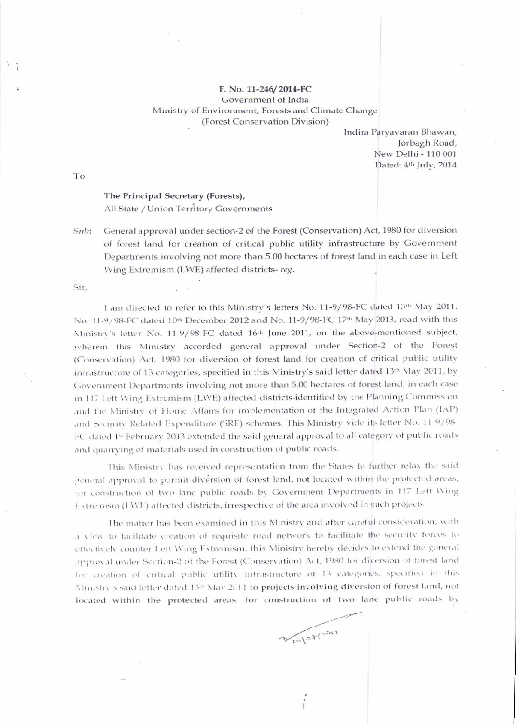## F. No. 11-246/2014-FC Government of India Ministry of Environment, Forests and Climate Change (Forest Conservation Division)

Indira Paryavaran Bhawan, Jorbagh Road, New Delhi - 110 001 Dated: 4th July, 2014

To

## The Principal Secretary (Forests), All State / Union Territory Governments

General approval under section-2 of the Forest (Conservation) Act, 1980 for diversion Sub: of forest land for creation of critical public utility infrastructure by Government Departments involving not more than 5.00 hectares of forest land in each case in Left Wing Extremism (LWE) affected districts-reg.

Sir.

I am directed to refer to this Ministry's letters No. 11-9/98-FC dated 13th May 2011, No. 11-9/98-FC dated 10th December 2012 and No. 11-9/98-FC 17th May 2013, read with this Ministry's letter No. 11-9/98-FC dated 16th June 2011, on the above-mentioned subject, wherein this Ministry accorded general approval under Section-2 of the Forest (Conservation) Act, 1980 for diversion of forest land for creation of critical public utility infrastructure of 13 categories, specified in this Ministry's said letter dated 13th May 2011, by Government Departments involving not more than 5.00 hectares of forest land, in each case in 117 Left Wing Extremism (LWE) affected districts-identified by the Planning Commission and the Ministry of Home Affairs for implementation of the Integrated Action Plan (IAP) and Security Related Expenditure (SRE) schemes. This Ministry vide its letter No. 11-9/98-FC dated 1st February 2013 extended the said general approval to all category of public roads and quarrying of materials used in construction of public roads.

This Ministry has received representation from the States to further relax the said general approval to permit diversion of forest land, not located within the protected areas, for construction of two lane public roads by Government Departments in 117 Left Wing Extremism (LWE) affected districts, irrespective of the area involved in such projects.

The matter has been examined in this Ministry and after careful consideration, with a view to facilitate creation of requisite road network to facilitate the security forces to effectively counter Left Wing Extremism, this Ministry hereby decides to extend the general approval under Section-2 of the Forest (Conservation) Act, 1980 for diversion of forest land for creation of critical public utility intrastructure of 13 categories, specified in this Ministry's said letter dated 13th May 2011 to projects involving diversion of forest land, not located within the protected areas, for construction of two lane public roads by

Weylott<sup>1217</sup>